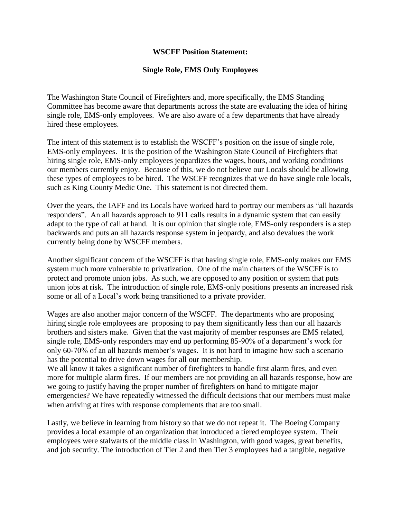## **WSCFF Position Statement:**

## **Single Role, EMS Only Employees**

The Washington State Council of Firefighters and, more specifically, the EMS Standing Committee has become aware that departments across the state are evaluating the idea of hiring single role, EMS-only employees. We are also aware of a few departments that have already hired these employees.

The intent of this statement is to establish the WSCFF's position on the issue of single role, EMS-only employees. It is the position of the Washington State Council of Firefighters that hiring single role, EMS-only employees jeopardizes the wages, hours, and working conditions our members currently enjoy. Because of this, we do not believe our Locals should be allowing these types of employees to be hired. The WSCFF recognizes that we do have single role locals, such as King County Medic One. This statement is not directed them.

Over the years, the IAFF and its Locals have worked hard to portray our members as "all hazards responders". An all hazards approach to 911 calls results in a dynamic system that can easily adapt to the type of call at hand. It is our opinion that single role, EMS-only responders is a step backwards and puts an all hazards response system in jeopardy, and also devalues the work currently being done by WSCFF members.

Another significant concern of the WSCFF is that having single role, EMS-only makes our EMS system much more vulnerable to privatization. One of the main charters of the WSCFF is to protect and promote union jobs. As such, we are opposed to any position or system that puts union jobs at risk. The introduction of single role, EMS-only positions presents an increased risk some or all of a Local's work being transitioned to a private provider.

Wages are also another major concern of the WSCFF. The departments who are proposing hiring single role employees are proposing to pay them significantly less than our all hazards brothers and sisters make. Given that the vast majority of member responses are EMS related, single role, EMS-only responders may end up performing 85-90% of a department's work for only 60-70% of an all hazards member's wages. It is not hard to imagine how such a scenario has the potential to drive down wages for all our membership.

We all know it takes a significant number of firefighters to handle first alarm fires, and even more for multiple alarm fires. If our members are not providing an all hazards response, how are we going to justify having the proper number of firefighters on hand to mitigate major emergencies? We have repeatedly witnessed the difficult decisions that our members must make when arriving at fires with response complements that are too small.

Lastly, we believe in learning from history so that we do not repeat it. The Boeing Company provides a local example of an organization that introduced a tiered employee system. Their employees were stalwarts of the middle class in Washington, with good wages, great benefits, and job security. The introduction of Tier 2 and then Tier 3 employees had a tangible, negative